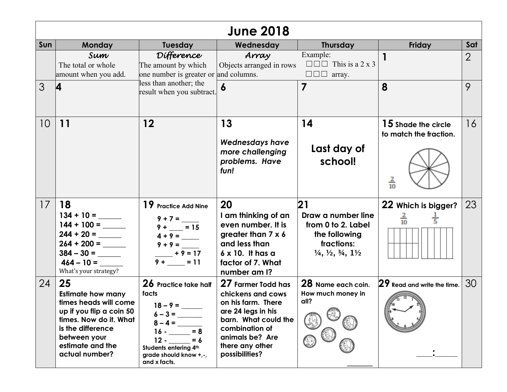|     | <b>June 2018</b>                                                                                                                                                                         |                                                                                                                                                                                 |                                                                                                                                                                                       |                                                                                                                                                |                                                                        |                |  |
|-----|------------------------------------------------------------------------------------------------------------------------------------------------------------------------------------------|---------------------------------------------------------------------------------------------------------------------------------------------------------------------------------|---------------------------------------------------------------------------------------------------------------------------------------------------------------------------------------|------------------------------------------------------------------------------------------------------------------------------------------------|------------------------------------------------------------------------|----------------|--|
| Sun | <b>Monday</b>                                                                                                                                                                            | <b>Tuesday</b>                                                                                                                                                                  | Wednesday                                                                                                                                                                             | <b>Thursday</b>                                                                                                                                | Friday                                                                 | Sat            |  |
|     | Sum<br>The total or whole<br>amount when you add.                                                                                                                                        | Difference<br>The amount by which<br>one number is greater or                                                                                                                   | Array<br>Objects arranged in rows<br>and columns.                                                                                                                                     | Example:<br>$\Box$ $\Box$ This is a 2 x 3<br>$\square \square \square$ array.                                                                  |                                                                        | $\overline{2}$ |  |
| 3   | 4                                                                                                                                                                                        | less than another; the<br>result when you subtract.                                                                                                                             | 6                                                                                                                                                                                     | $\overline{7}$                                                                                                                                 | 8                                                                      | 9              |  |
| 10  | 11                                                                                                                                                                                       | $12 \,$                                                                                                                                                                         | 13<br><b>Wednesdays have</b><br>more challenging<br>problems. Have<br>fun!                                                                                                            | 14<br>Last day of<br>school!                                                                                                                   | <b>15</b> Shade the circle<br>to match the fraction.<br>$\frac{2}{10}$ | 16             |  |
| 17  | 18<br>$464 - 10 =$<br>What's your strategy?                                                                                                                                              | 19 Practice Add Nine<br>$9 + 7 =$<br>$9 + \frac{1}{1} = 15$<br>$9 + 9 =$<br>$+9=17$<br>$9 + \_ = 11$                                                                            | 20<br>I am thinking of an<br>even number. It is<br>greater than 7 x 6<br>and less than<br>$6 \times 10$ . It has a<br>factor of 7. What<br>number am I?                               | 21<br>Draw a number line<br>from 0 to 2. Label<br>the following<br>fractions:<br>$\frac{1}{4}$ , $\frac{1}{2}$ , $\frac{3}{4}$ , $\frac{1}{2}$ | 22 Which is bigger?<br>$\frac{2}{10}$<br>$\frac{1}{5}$                 | 23             |  |
| 24  | 25<br><b>Estimate how many</b><br>times heads will come<br>up if you flip a coin 50<br>times. Now do it. What<br>is the difference<br>between your<br>estimate and the<br>actual number? | 26 Practice take half<br>facts<br>$18 - 9 =$<br>$6 - 3 =$<br>$8 - 4 =$<br>$= 8$<br>$16 -$<br>$12 -$<br>$= 6$<br>Students entering 4th<br>grade should know +,-,<br>and x facts. | 27 Farmer Todd has<br>chickens and cows<br>on his farm. There<br>are 24 legs in his<br>barn. What could the<br>combination of<br>animals be? Are<br>there any other<br>possibilities? | 28 Name each coin.<br>How much money in<br>all?                                                                                                | 29 Read and write the time.                                            | 30             |  |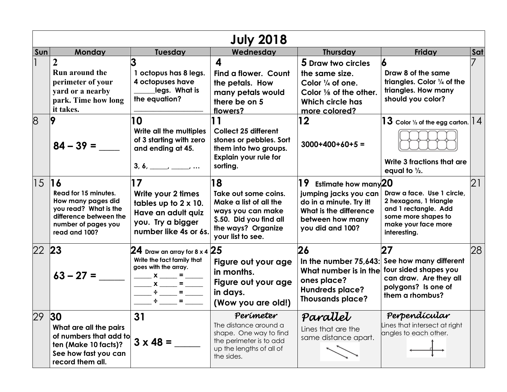| <b>July 2018</b> |                                                                                                                                       |                                                                                                                                                                                                                                                            |                                                                                                                                                 |                                                                                                                                                             |                                                                                                                                            |     |  |
|------------------|---------------------------------------------------------------------------------------------------------------------------------------|------------------------------------------------------------------------------------------------------------------------------------------------------------------------------------------------------------------------------------------------------------|-------------------------------------------------------------------------------------------------------------------------------------------------|-------------------------------------------------------------------------------------------------------------------------------------------------------------|--------------------------------------------------------------------------------------------------------------------------------------------|-----|--|
| Sun              | <b>Monday</b>                                                                                                                         | <b>Tuesday</b>                                                                                                                                                                                                                                             | Wednesday                                                                                                                                       | <b>Thursday</b>                                                                                                                                             | Friday                                                                                                                                     | Sat |  |
|                  | Run around the<br>perimeter of your<br>yard or a nearby<br>park. Time how long<br>it takes.                                           | 1 octopus has 8 legs.<br>4 octopuses have<br>legs. What is<br>the equation?                                                                                                                                                                                | 4<br>Find a flower. Count<br>the petals. How<br>many petals would<br>there be on 5<br>flowers?                                                  | 5 Draw two circles<br>the same size.<br>Color $\frac{1}{4}$ of one.<br>Color 1/8 of the other.<br>Which circle has<br>more colored?                         | Draw 8 of the same<br>triangles. Color $\frac{1}{4}$ of the<br>triangles. How many<br>should you color?                                    |     |  |
| 8                | 9<br>$84 - 39 =$                                                                                                                      | 10<br>Write all the multiples<br>of 3 starting with zero<br>and ending at 45.<br>$3, 6, \underline{\hspace{1cm}} , \underline{\hspace{1cm}} , \underline{\hspace{1cm}} , \ldots$                                                                           | <b>Collect 25 different</b><br>stones or pebbles. Sort<br>them into two groups.<br><b>Explain your rule for</b><br>sorting.                     | 12<br>$3000+400+60+5=$                                                                                                                                      | $ 13\>$ Color ½ of the egg carton. $ 14\>$<br>Write 3 fractions that are<br>equal to $\frac{1}{2}$ .                                       |     |  |
| 1516             | Read for 15 minutes.<br>How many pages did<br>you read? What is the<br>difference between the<br>number of pages you<br>read and 100? | 17<br>Write your 2 times<br>tables up to $2 \times 10$ .<br>Have an adult quiz<br>you. Try a bigger<br>number like 4s or 6s.                                                                                                                               | 18<br>Take out some coins.<br>Make a list of all the<br>ways you can make<br>\$.50. Did you find all<br>the ways? Organize<br>your list to see. | 19<br>Estimate how many <sup>20</sup><br>jumping jacks you can<br>do in a minute. Try it!<br>What is the difference<br>between how many<br>you did and 100? | Draw a face. Use 1 circle,<br>2 hexagons, 1 triangle<br>and 1 rectangle. Add<br>some more shapes to<br>make your face more<br>interesting. | 21  |  |
| 22 23            | $63 - 27 =$                                                                                                                           | 24 Draw an array for 8 x 4 $\vert$ 25<br>Write the fact family that<br>goes with the array.<br>$x =$<br>$x = 5$<br>$\div \underline{\hspace{1cm}} \qquad \qquad \quad \  \  \, \pm \underline{\hspace{1cm}} \qquad \qquad \  \  \, \bot$<br>$\blacksquare$ | Figure out your age<br>in months.<br>Figure out your age<br>in days.<br>(Wow you are old!)                                                      | 26<br>What number is in the four sided shapes you<br>ones place?<br><b>Hundreds place?</b><br><b>Thousands place?</b>                                       | 27<br>In the number 75,643: See how many different<br>can draw. Are they all<br>polygons? Is one of<br>them a rhombus?                     | 28  |  |
| 29 30            | What are all the pairs<br>of numbers that add to<br>ten (Make 10 facts)?<br>See how fast you can<br>record them all.                  | 31<br>$3 \times 48 =$                                                                                                                                                                                                                                      | Perimeter<br>The distance around a<br>shape. One way to find<br>the perimeter is to add<br>up the lengths of all of<br>the sides.               | Parallet<br>Lines that are the<br>same distance apart.                                                                                                      | Perpendícular<br>Lines that intersect at right<br>angles to each other.                                                                    |     |  |